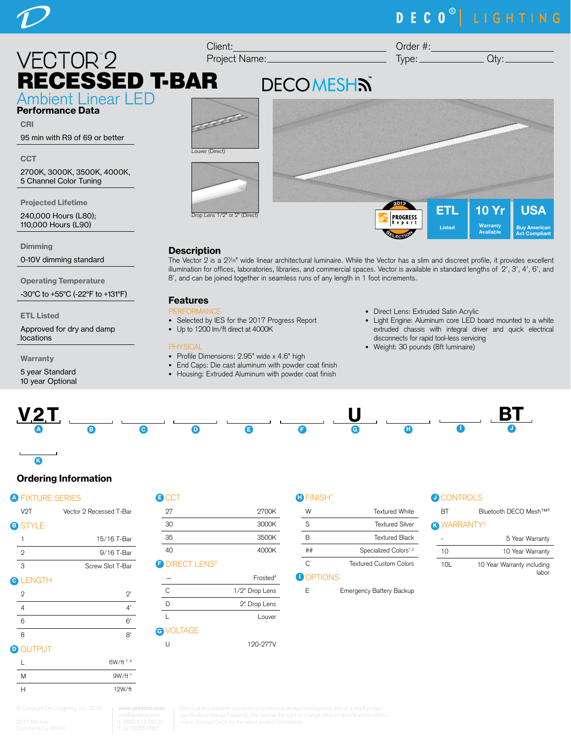

### RECESSED T-BAR  $\frac{1}{2}$ Client: Project Name:

Ambient Linear LED Performance Data

CRI 95 min with R9 of 69 or better

2700K, 3000K, 3500K, 4000K, 5 Channel Color Tuning

Projected Lifetime

240,000 Hours (L80); 110,000 Hours (L90)

**Dimming** 

**CCT** 

0-10V dimming standard

Operating Temperature

-30°C to +55°C (-22°F to +131°F)

ETL Listed

Approved for dry and damp locations

Warranty

5 year Standard 10 year Optional



### **Description**

The Vector 2 is a 27 /16" wide linear architectural luminaire. While the Vector has a slim and discreet profile, it provides excellent illumination for offices, laboratories, libraries, and commercial spaces. Vector is available in standard lengths of 2', 3', 4', 6', and 8', and can be joined together in seamless runs of any length in 1 foot increments.

### Features

- **FORMANIC**
- Selected by IES for the 2017 Progress Report
- Up to 1200 lm/ft direct at 4000K

### PHYSICAL

- Profile Dimensions: 2.95" wide x 4.6" high
- End Caps: Die cast aluminum with powder coat finish
- Housing: Extruded Aluminum with powder coat finish
- Direct Lens: Extruded Satin Acrylic
- Light Engine: Aluminum core LED board mounted to a white extruded chassis with integral driver and quick electrical disconnects for rapid tool-less servicing
- Weight: 30 pounds (8ft luminaire)



### Ordering Information

### **A FIXTURE SERIES**

K  $\overline{\phantom{a}}$ 

| V <sub>2</sub> T | Vector 2 Recessed T-Bar |
|------------------|-------------------------|
| <b>B</b> STYLE   |                         |
|                  | 15/16 T-Bar             |
| 2                | 9/16 T-Bar              |
| З                | Screw Slot T-Bar        |
|                  |                         |

| _____ |  |
|-------|--|
|-------|--|

| $\mathfrak{D}$               | $2^{\prime}$ |
|------------------------------|--------------|
|                              | 4'           |
| 6                            | 6'           |
| 8                            | 8'           |
| and a company of the company |              |

### **D** OUTPUT

|   | 6W/ft 7, 8 |
|---|------------|
| M | $9W/ft^7$  |
| н | 12W/ft     |

| <b>B</b> CCT | Ή     |
|--------------|-------|
| 97           | 2700K |

| 30                                                              | 3000K |
|-----------------------------------------------------------------|-------|
| 35                                                              | 3500K |
| 40                                                              | 4000K |
| $\cdots$ . The contract of $\cdots$ is the contract of $\cdots$ |       |

### **F DIRECT LENS<sup>5</sup>**

|                  | Frosted <sup>4</sup> |
|------------------|----------------------|
| C                | 1/2" Drop Lens       |
| D                | 2" Drop Lens         |
|                  | Louver               |
| <b>G</b> VOLTAGE |                      |
| Н                | 120-277V             |

### **O** FINISH<sup>3</sup>

| W  | Textured White                    |  |
|----|-----------------------------------|--|
| S  | <b>Textured Silver</b>            |  |
| R  | <b>Textured Black</b>             |  |
| ## | Specialized Colors <sup>1,2</sup> |  |
| ◠  | <b>Textured Custom Colors</b>     |  |
|    |                                   |  |

### **D** OPTIONS

### **J CONTROLS**

| RT | Bluetooth DECO Mesh™ <sup>6</sup> |
|----|-----------------------------------|
|    | <b>R</b> WARRANTY <sup>9</sup>    |

## 5 Year Warranty

10 10 Year Warranty 10L 10 Year Warranty including labor

E Emergency Battery Backup

**www.getdeco.com**

**DECOMESHN** 

# DECO<sup>®</sup> LIGHTING

Order #:  $Type:$   $Qty:$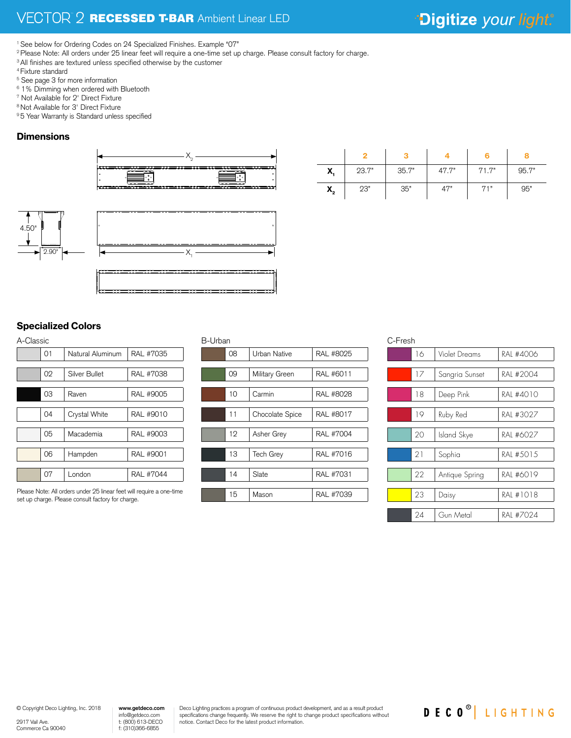<sup>1</sup> See below for Ordering Codes on 24 Specialized Finishes. Example "07"

<sup>2</sup> Please Note: All orders under 25 linear feet will require a one-time set up charge. Please consult factory for charge.

- <sup>3</sup> All finishes are textured unless specified otherwise by the customer
- 4 Fixture standard
- 5 See page 3 for more information
- 
- 6 1% Dimming when ordered with Bluetooth 7 Not Available for 2' Direct Fixture
- 8 Not Available for 3' Direct Fixture
- <sup>9</sup> 5 Year Warranty is Standard unless specified

### **Dimensions**





|                                | $\circ$ |         |  |
|--------------------------------|---------|---------|--|
|                                |         |         |  |
| $\overline{2.90}$ $\leftarrow$ |         | —— X. — |  |
|                                |         |         |  |
|                                |         |         |  |

| X,             | 23.7" | 35.7" | 47.7" | 71.7" | 95.7" |
|----------------|-------|-------|-------|-------|-------|
| $\mathsf{X}_2$ | 23"   | 35"   | 47"   | 71"   | 95"   |

C-Fresh

### $\overline{a}$ Specialized Colors

| A-Classic        |           |  |  |  |
|------------------|-----------|--|--|--|
| Natural Aluminum | RAL #7035 |  |  |  |
|                  |           |  |  |  |
| Silver Bullet    | RAL #7038 |  |  |  |
|                  |           |  |  |  |
| Raven            | RAL #9005 |  |  |  |
|                  |           |  |  |  |
| Crystal White    | RAL #9010 |  |  |  |
|                  |           |  |  |  |
| Macademia        | RAL #9003 |  |  |  |
|                  |           |  |  |  |
| Hampden          | RAL #9001 |  |  |  |
|                  |           |  |  |  |
| London           | RAL #7044 |  |  |  |
|                  |           |  |  |  |

Please Note: All orders under 25 linear feet will require a one-time set up charge. Please consult factory for charge.

### B-Urban

| 08 | Urban Native    | RAL #8025 |
|----|-----------------|-----------|
|    |                 |           |
| 09 | Military Green  | RAL #6011 |
|    |                 |           |
| 10 | Carmin          | RAL #8028 |
|    |                 |           |
| 11 | Chocolate Spice | RAL #8017 |
|    |                 |           |
| 12 | Asher Grey      | RAL #7004 |
|    |                 |           |
| 13 | Tech Grey       | RAL #7016 |
|    |                 |           |
| 14 | Slate           | RAL #7031 |
|    |                 |           |
| 15 | Mason           | RAL #7039 |
|    |                 |           |

| U-LI 1551 I |    |                |           |
|-------------|----|----------------|-----------|
|             | 16 | Violet Dreams  | RAI #4006 |
|             |    |                |           |
|             | 17 | Sangria Sunset | RAI #2004 |
|             |    |                |           |
|             | 18 | Deep Pink      | RAL #4010 |
|             |    |                |           |
|             | 19 | Ruby Red       | RAI #3027 |
|             |    |                |           |
|             | 20 | Island Skye    | RAI #6027 |
|             |    |                |           |
|             | 21 | Sophia         | RAI #5015 |
|             |    |                |           |
|             | 22 | Antique Spring | RAL #6019 |
|             |    |                |           |
|             | 23 | Daisy          | RAI #1018 |
|             |    |                |           |
|             | 24 | Gun Metal      | RAI #7024 |
|             |    |                |           |

2917 Vail Ave. Commerce Ca 90040